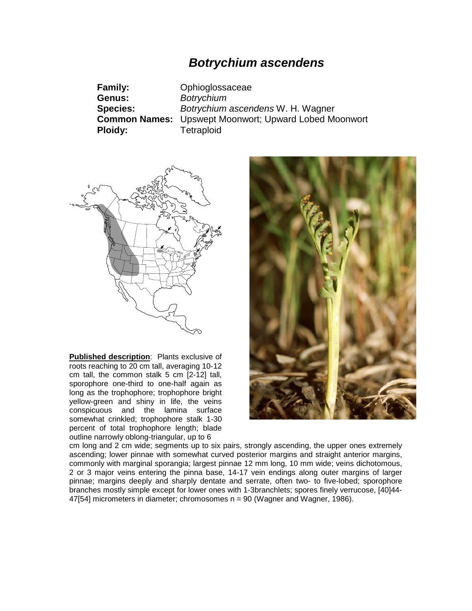# *Botrychium ascendens*

| <b>Family:</b>  | Ophioglossaceae                                              |
|-----------------|--------------------------------------------------------------|
| Genus:          | <b>Botrychium</b>                                            |
| <b>Species:</b> | Botrychium ascendens W. H. Wagner                            |
|                 | <b>Common Names:</b> Upswept Moonwort; Upward Lobed Moonwort |
| <b>Ploidy:</b>  | Tetraploid                                                   |



**Published description**: Plants exclusive of roots reaching to 20 cm tall, averaging 10-12 cm tall, the common stalk 5 cm [2-12] tall, sporophore one-third to one-half again as long as the trophophore; trophophore bright yellow-green and shiny in life, the veins conspicuous and the lamina surface somewhat crinkled; trophophore stalk 1-30 percent of total trophophore length; blade outline narrowly oblong-triangular, up to 6



cm long and 2 cm wide; segments up to six pairs, strongly ascending, the upper ones extremely ascending; lower pinnae with somewhat curved posterior margins and straight anterior margins, commonly with marginal sporangia; largest pinnae 12 mm long, 10 mm wide; veins dichotomous, 2 or 3 major veins entering the pinna base, 14-17 vein endings along outer margins of larger pinnae; margins deeply and sharply dentate and serrate, often two- to five-lobed; sporophore branches mostly simple except for lower ones with 1-3branchlets; spores finely verrucose, [40]44- 47[54] micrometers in diameter; chromosomes n = 90 (Wagner and Wagner, 1986).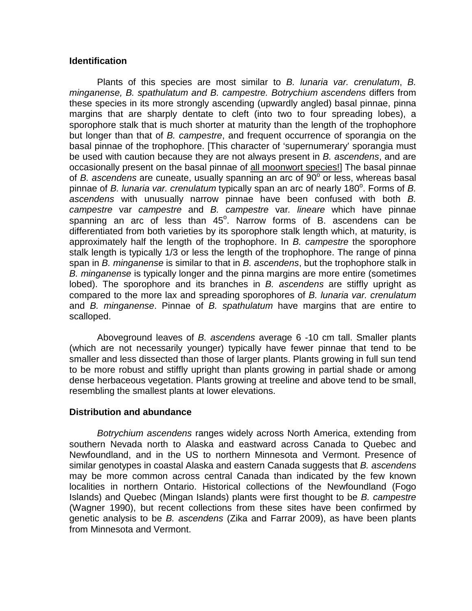### **Identification**

Plants of this species are most similar to *B. lunaria var. crenulatum*, *B. minganense, B. spathulatum and B. campestre. Botrychium ascendens* differs from these species in its more strongly ascending (upwardly angled) basal pinnae, pinna margins that are sharply dentate to cleft (into two to four spreading lobes), a sporophore stalk that is much shorter at maturity than the length of the trophophore but longer than that of *B. campestre*, and frequent occurrence of sporangia on the basal pinnae of the trophophore. [This character of 'supernumerary' sporangia must be used with caution because they are not always present in *B. ascendens*, and are occasionally present on the basal pinnae of all moonwort species!] The basal pinnae of *B. ascendens* are cuneate, usually spanning an arc of 90<sup>°</sup> or less, whereas basal pinnae of *B. lunaria var. crenulatum* typically span an arc of nearly 180°. Forms of *B. ascendens* with unusually narrow pinnae have been confused with both *B. campestre* var *campestre* and *B. campestre* var*. lineare* which have pinnae spanning an arc of less than 45°. Narrow forms of B. ascendens can be differentiated from both varieties by its sporophore stalk length which, at maturity, is approximately half the length of the trophophore. In *B. campestre* the sporophore stalk length is typically 1/3 or less the length of the trophophore. The range of pinna span in *B. minganense* is similar to that in *B. ascendens*, but the trophophore stalk in *B. minganense* is typically longer and the pinna margins are more entire (sometimes lobed). The sporophore and its branches in *B. ascendens* are stiffly upright as compared to the more lax and spreading sporophores of *B. lunaria var. crenulatum* and *B. minganense*. Pinnae of *B. spathulatum* have margins that are entire to scalloped.

Aboveground leaves of *B. ascendens* average 6 -10 cm tall. Smaller plants (which are not necessarily younger) typically have fewer pinnae that tend to be smaller and less dissected than those of larger plants. Plants growing in full sun tend to be more robust and stiffly upright than plants growing in partial shade or among dense herbaceous vegetation. Plants growing at treeline and above tend to be small, resembling the smallest plants at lower elevations.

### **Distribution and abundance**

*Botrychium ascendens* ranges widely across North America, extending from southern Nevada north to Alaska and eastward across Canada to Quebec and Newfoundland, and in the US to northern Minnesota and Vermont. Presence of similar genotypes in coastal Alaska and eastern Canada suggests that *B. ascendens* may be more common across central Canada than indicated by the few known localities in northern Ontario. Historical collections of the Newfoundland (Fogo Islands) and Quebec (Mingan Islands) plants were first thought to be *B. campestre* (Wagner 1990), but recent collections from these sites have been confirmed by genetic analysis to be *B. ascendens* (Zika and Farrar 2009), as have been plants from Minnesota and Vermont.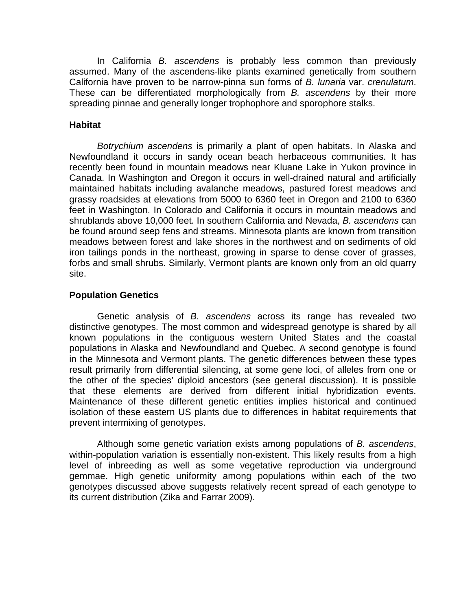In California *B. ascendens* is probably less common than previously assumed. Many of the ascendens-like plants examined genetically from southern California have proven to be narrow-pinna sun forms of *B. lunaria* var. *crenulatum*. These can be differentiated morphologically from *B. ascendens* by their more spreading pinnae and generally longer trophophore and sporophore stalks.

# **Habitat**

*Botrychium ascendens* is primarily a plant of open habitats. In Alaska and Newfoundland it occurs in sandy ocean beach herbaceous communities. It has recently been found in mountain meadows near Kluane Lake in Yukon province in Canada. In Washington and Oregon it occurs in well-drained natural and artificially maintained habitats including avalanche meadows, pastured forest meadows and grassy roadsides at elevations from 5000 to 6360 feet in Oregon and 2100 to 6360 feet in Washington. In Colorado and California it occurs in mountain meadows and shrublands above 10,000 feet. In southern California and Nevada, *B. ascendens* can be found around seep fens and streams. Minnesota plants are known from transition meadows between forest and lake shores in the northwest and on sediments of old iron tailings ponds in the northeast, growing in sparse to dense cover of grasses, forbs and small shrubs. Similarly, Vermont plants are known only from an old quarry site.

## **Population Genetics**

Genetic analysis of *B. ascendens* across its range has revealed two distinctive genotypes. The most common and widespread genotype is shared by all known populations in the contiguous western United States and the coastal populations in Alaska and Newfoundland and Quebec. A second genotype is found in the Minnesota and Vermont plants. The genetic differences between these types result primarily from differential silencing, at some gene loci, of alleles from one or the other of the species' diploid ancestors (see general discussion). It is possible that these elements are derived from different initial hybridization events. Maintenance of these different genetic entities implies historical and continued isolation of these eastern US plants due to differences in habitat requirements that prevent intermixing of genotypes.

Although some genetic variation exists among populations of *B. ascendens*, within-population variation is essentially non-existent. This likely results from a high level of inbreeding as well as some vegetative reproduction via underground gemmae. High genetic uniformity among populations within each of the two genotypes discussed above suggests relatively recent spread of each genotype to its current distribution (Zika and Farrar 2009).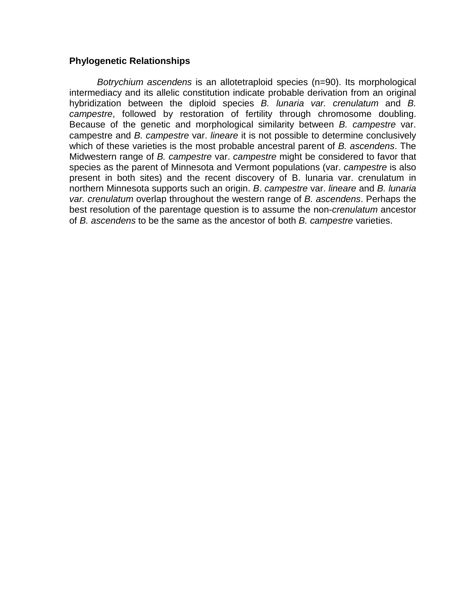### **Phylogenetic Relationships**

*Botrychium ascendens* is an allotetraploid species (n=90). Its morphological intermediacy and its allelic constitution indicate probable derivation from an original hybridization between the diploid species *B. lunaria var. crenulatum* and *B. campestre*, followed by restoration of fertility through chromosome doubling. Because of the genetic and morphological similarity between *B. campestre* var. campestre and *B. campestre* var. *lineare* it is not possible to determine conclusively which of these varieties is the most probable ancestral parent of *B. ascendens*. The Midwestern range of *B. campestre* var. *campestre* might be considered to favor that species as the parent of Minnesota and Vermont populations (var. *campestre* is also present in both sites) and the recent discovery of B. lunaria var. crenulatum in northern Minnesota supports such an origin. *B*. *campestre* var. *lineare* and *B. lunaria var. crenulatum* overlap throughout the western range of *B. ascendens*. Perhaps the best resolution of the parentage question is to assume the non-*crenulatum* ancestor of *B. ascendens* to be the same as the ancestor of both *B. campestre* varieties.